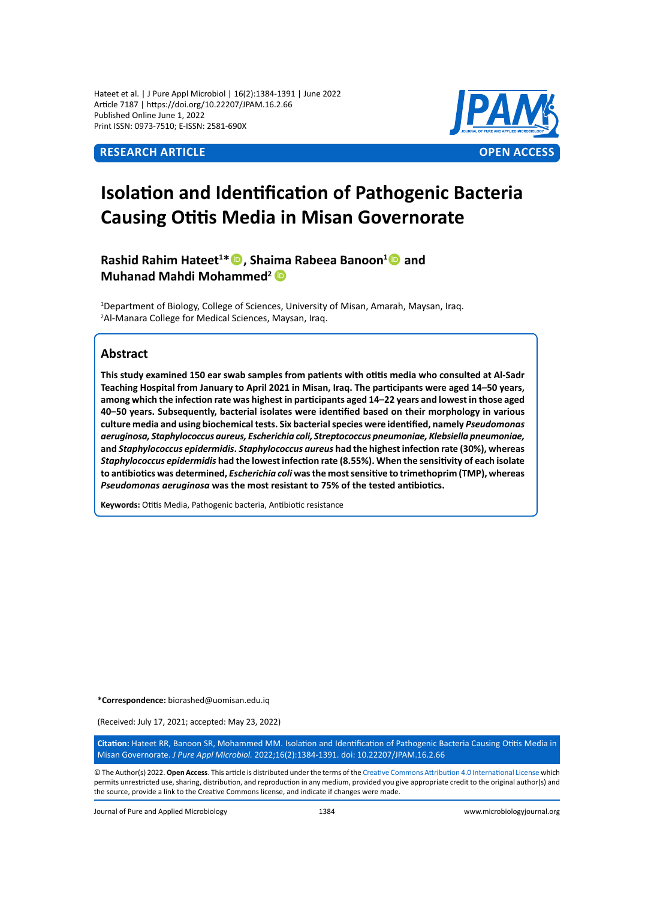Hateet et al. | J Pure Appl Microbiol | 16(2):1384-1391 | June 2022 Article 7187 | https://doi.org/10.22207/JPAM.16.2.66 Published Online June 1, 2022 Print ISSN: 0973-7510; E-ISSN: 2581-690X



# **Isolation and Identification of Pathogenic Bacteria Causing Otitis Media in Misan Governorate**

**Rashid Rahim Hateet<sup>1</sup> \*, Shaima Rabeea Banoon<sup>1</sup> and Muhanad Mahdi Mohammed<sup>2</sup>**

<sup>1</sup>Department of Biology, College of Sciences, University of Misan, Amarah, Maysan, Iraq. 2 Al-Manara College for Medical Sciences, Maysan, Iraq.

# **Abstract**

**This study examined 150 ear swab samples from patients with otitis media who consulted at Al-Sadr Teaching Hospital from January to April 2021 in Misan, Iraq. The participants were aged 14–50 years, among which the infection rate was highest in participants aged 14–22 years and lowest in those aged 40–50 years. Subsequently, bacterial isolates were identified based on their morphology in various culture media and using biochemical tests. Six bacterial species were identified, namely** *Pseudomonas aeruginosa, Staphylococcus aureus, Escherichia coli, Streptococcus pneumoniae, Klebsiella pneumoniae,*  **and** *Staphylococcus epidermidis***.** *Staphylococcus aureus* **had the highest infection rate (30%), whereas**  *Staphylococcus epidermidis* **had the lowest infection rate (8.55%). When the sensitivity of each isolate to antibiotics was determined,** *Escherichia coli* **was the most sensitive to trimethoprim (TMP), whereas**  *Pseudomonas aeruginosa* **was the most resistant to 75% of the tested antibiotics.**

**Keywords:** Otitis Media, Pathogenic bacteria, Antibiotic resistance

**\*Correspondence:** biorashed@uomisan.edu.iq

(Received: July 17, 2021; accepted: May 23, 2022)

**Citation:** Hateet RR, Banoon SR, Mohammed MM. Isolation and Identification of Pathogenic Bacteria Causing Otitis Media in Misan Governorate. *J Pure Appl Microbiol.* 2022;16(2):1384-1391. doi: 10.22207/JPAM.16.2.66

© The Author(s) 2022. **Open Access**. This article is distributed under the terms of the [Creative Commons Attribution 4.0 International License](https://creativecommons.org/licenses/by/4.0/) which permits unrestricted use, sharing, distribution, and reproduction in any medium, provided you give appropriate credit to the original author(s) and the source, provide a link to the Creative Commons license, and indicate if changes were made.

Journal of Pure and Applied Microbiology 1384 www.microbiologyjournal.org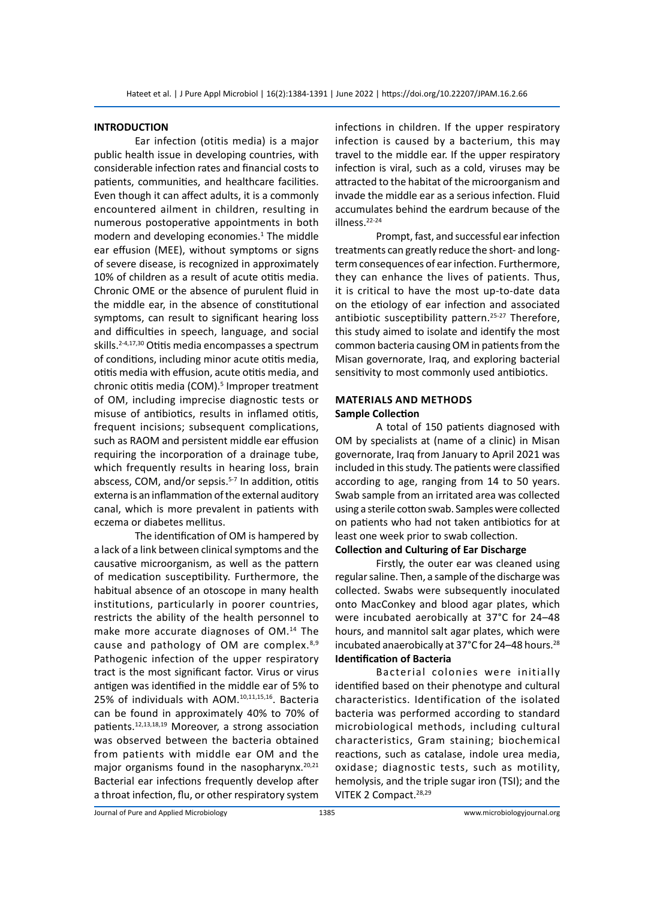### **INTRODUCTION**

Ear infection (otitis media) is a major public health issue in developing countries, with considerable infection rates and financial costs to patients, communities, and healthcare facilities. Even though it can affect adults, it is a commonly encountered ailment in children, resulting in numerous postoperative appointments in both modern and developing economies.<sup>1</sup> The middle ear effusion (MEE), without symptoms or signs of severe disease, is recognized in approximately 10% of children as a result of acute otitis media. Chronic OME or the absence of purulent fluid in the middle ear, in the absence of constitutional symptoms, can result to significant hearing loss and difficulties in speech, language, and social skills.2-4,17,30 Otitis media encompasses a spectrum of conditions, including minor acute otitis media, otitis media with effusion, acute otitis media, and chronic otitis media (COM).<sup>5</sup> Improper treatment of OM, including imprecise diagnostic tests or misuse of antibiotics, results in inflamed otitis, frequent incisions; subsequent complications, such as RAOM and persistent middle ear effusion requiring the incorporation of a drainage tube, which frequently results in hearing loss, brain abscess, COM, and/or sepsis.5-7 In addition, otitis externa is an inflammation of the external auditory canal, which is more prevalent in patients with eczema or diabetes mellitus.

The identification of OM is hampered by a lack of a link between clinical symptoms and the causative microorganism, as well as the pattern of medication susceptibility. Furthermore, the habitual absence of an otoscope in many health institutions, particularly in poorer countries, restricts the ability of the health personnel to make more accurate diagnoses of OM.<sup>14</sup> The cause and pathology of OM are complex.<sup>8,9</sup> Pathogenic infection of the upper respiratory tract is the most significant factor. Virus or virus antigen was identified in the middle ear of 5% to 25% of individuals with AOM.10,11,15,16. Bacteria can be found in approximately 40% to 70% of patients.12,13,18,19 Moreover, a strong association was observed between the bacteria obtained from patients with middle ear OM and the major organisms found in the nasopharynx.<sup>20,21</sup> Bacterial ear infections frequently develop after a throat infection, flu, or other respiratory system infections in children. If the upper respiratory infection is caused by a bacterium, this may travel to the middle ear. If the upper respiratory infection is viral, such as a cold, viruses may be attracted to the habitat of the microorganism and invade the middle ear as a serious infection. Fluid accumulates behind the eardrum because of the illness.22-24

Prompt, fast, and successful ear infection treatments can greatly reduce the short- and longterm consequences of ear infection. Furthermore, they can enhance the lives of patients. Thus, it is critical to have the most up-to-date data on the etiology of ear infection and associated antibiotic susceptibility pattern.<sup>25-27</sup> Therefore, this study aimed to isolate and identify the most common bacteria causing OM in patients from the Misan governorate, Iraq, and exploring bacterial sensitivity to most commonly used antibiotics.

# **Materials and Methods Sample Collection**

A total of 150 patients diagnosed with OM by specialists at (name of a clinic) in Misan governorate, Iraq from January to April 2021 was included in this study. The patients were classified according to age, ranging from 14 to 50 years. Swab sample from an irritated area was collected using a sterile cotton swab. Samples were collected on patients who had not taken antibiotics for at least one week prior to swab collection.

# **Collection and Culturing of Ear Discharge**

Firstly, the outer ear was cleaned using regular saline. Then, a sample of the discharge was collected. Swabs were subsequently inoculated onto MacConkey and blood agar plates, which were incubated aerobically at 37°C for 24–48 hours, and mannitol salt agar plates, which were incubated anaerobically at 37°C for 24–48 hours.<sup>28</sup> **Identification of Bacteria**

Bacterial colonies were initially identified based on their phenotype and cultural characteristics. Identification of the isolated bacteria was performed according to standard microbiological methods, including cultural characteristics, Gram staining; biochemical reactions, such as catalase, indole urea media, oxidase; diagnostic tests, such as motility, hemolysis, and the triple sugar iron (TSI); and the VITEK 2 Compact.28,29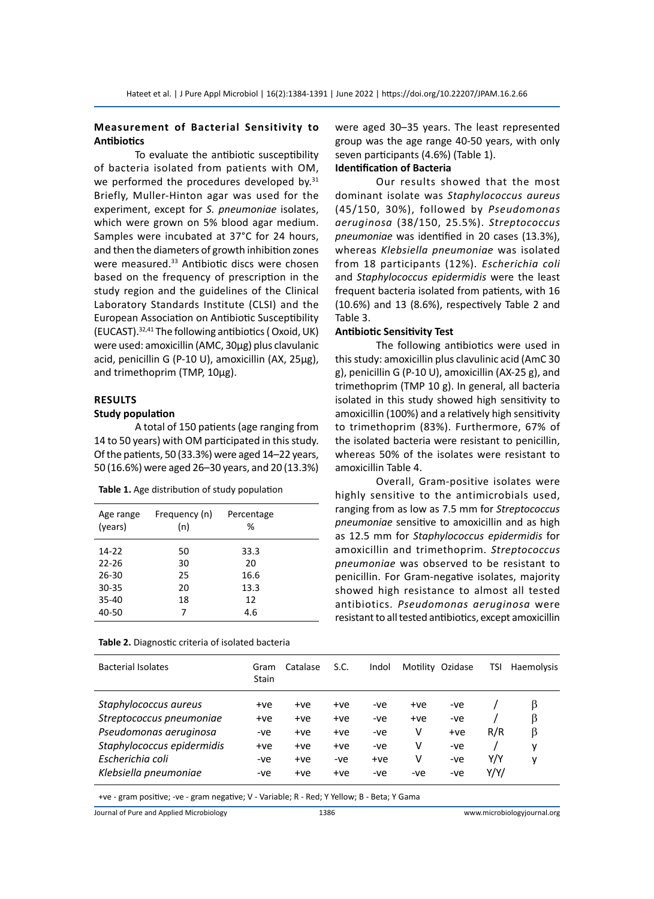# **Measurement of Bacterial Sensitivity to Antibiotics**

To evaluate the antibiotic susceptibility of bacteria isolated from patients with OM, we performed the procedures developed by.<sup>31</sup> Briefly, Muller-Hinton agar was used for the experiment, except for *S. pneumoniae* isolates, which were grown on 5% blood agar medium. Samples were incubated at 37°C for 24 hours, and then the diameters of growth inhibition zones were measured.<sup>33</sup> Antibiotic discs were chosen based on the frequency of prescription in the study region and the guidelines of the Clinical Laboratory Standards Institute (CLSI) and the European Association on Antibiotic Susceptibility (EUCAST).32,41 The following antibiotics ( Oxoid, UK) were used: amoxicillin (AMC, 30µg) plus clavulanic acid, penicillin G (P-10 U), amoxicillin (AX, 25µg), and trimethoprim (TMP, 10µg).

# **Results**

#### **Study population**

A total of 150 patients (age ranging from 14 to 50 years) with OM participated in this study. Of the patients, 50 (33.3%) were aged 14–22 years, 50 (16.6%) were aged 26–30 years, and 20 (13.3%)

**Table 1.** Age distribution of study population

| Age range | Frequency (n) | Percentage |  |
|-----------|---------------|------------|--|
| (years)   | (n)           | %          |  |
| 14-22     | 50            | 33.3       |  |
| $22 - 26$ | 30            | 20         |  |
| $26 - 30$ | 25            | 16.6       |  |
| $30 - 35$ | 20            | 13.3       |  |
| $35 - 40$ | 18            | 12         |  |
| 40-50     | 7             | 4.6        |  |

| Table 2. Diagnostic criteria of isolated bacteria |  |  |  |  |  |
|---------------------------------------------------|--|--|--|--|--|
|---------------------------------------------------|--|--|--|--|--|

were aged 30–35 years. The least represented group was the age range 40-50 years, with only seven participants (4.6%) (Table 1).

# **Identification of Bacteria**

Our results showed that the most dominant isolate was *Staphylococcus aureus* (45/150, 30%), followed by *Pseudomonas aeruginosa* (38/150, 25.5%). *Streptococcus pneumoniae* was identified in 20 cases (13.3%), whereas *Klebsiella pneumoniae* was isolated from 18 participants (12%). *Escherichia coli*  and *Staphylococcus epidermidis* were the least frequent bacteria isolated from patients, with 16 (10.6%) and 13 (8.6%), respectively Table 2 and Table 3.

#### **Antibiotic Sensitivity Test**

The following antibiotics were used in this study: amoxicillin plus clavulinic acid (AmC 30 g), penicillin G (P-10 U), amoxicillin (AX-25 g), and trimethoprim (TMP 10 g). In general, all bacteria isolated in this study showed high sensitivity to amoxicillin (100%) and a relatively high sensitivity to trimethoprim (83%). Furthermore, 67% of the isolated bacteria were resistant to penicillin, whereas 50% of the isolates were resistant to amoxicillin Table 4.

Overall, Gram-positive isolates were highly sensitive to the antimicrobials used, ranging from as low as 7.5 mm for *Streptococcus pneumoniae* sensitive to amoxicillin and as high as 12.5 mm for *Staphylococcus epidermidis* for amoxicillin and trimethoprim. *Streptococcus pneumoniae* was observed to be resistant to penicillin. For Gram-negative isolates, majority showed high resistance to almost all tested antibiotics. *Pseudomonas aeruginosa* were resistant to all tested antibiotics, except amoxicillin

| <b>Bacterial Isolates</b>  | Gram<br><b>Stain</b> | Catalase | S.C.  | Indol |     | Motility Ozidase | TSI  | Haemolysis |
|----------------------------|----------------------|----------|-------|-------|-----|------------------|------|------------|
| Staphylococcus aureus      | $+ve$                | $+ve$    | +ve   | -ve   | +ve | -ve              |      | ß          |
| Streptococcus pneumoniae   | $+ve$                | +ve      | $+ve$ | -ve   | +ve | -ve              |      | β          |
| Pseudomonas aeruginosa     | -ve                  | +ve      | +ve   | -ve   | v   | $+ve$            | R/R  | β          |
| Staphylococcus epidermidis | +ve                  | +ve      | +ve   | -ve   | v   | -ve              |      | v          |
| Escherichia coli           | -ve                  | +ve      | -ve   | $+ve$ | v   | $-ve$            | Y/Y  | v          |
| Klebsiella pneumoniae      | -ve                  | +ve      | +ve   | -ve   | -ve | -ve              | Y/Y/ |            |

+ve - gram positive; -ve - gram negative; V - Variable; R - Red; Y Yellow; B - Beta; Y Gama

Journal of Pure and Applied Microbiology 1386 www.microbiologyjournal.org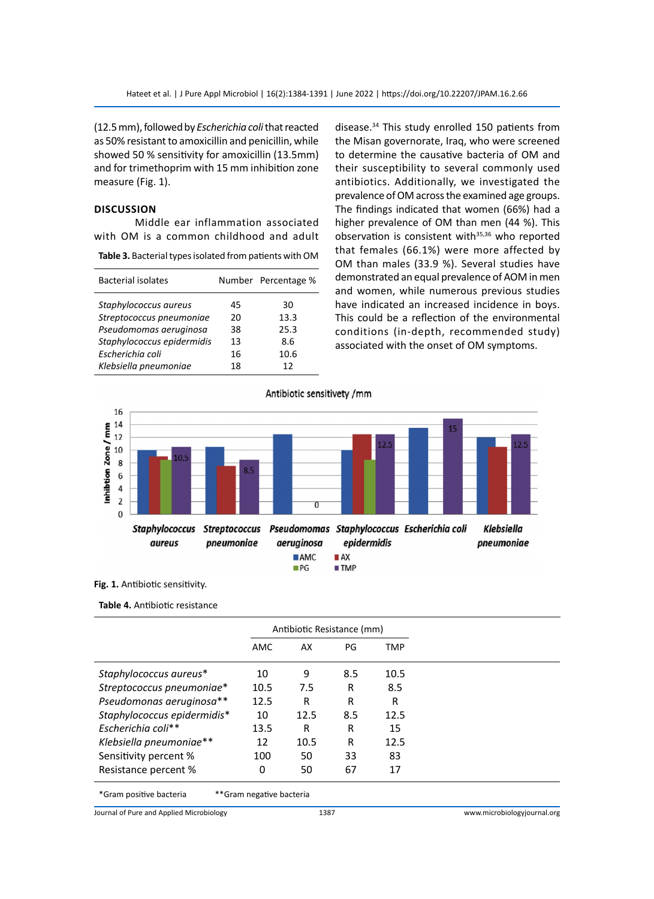(12.5 mm), followed by *Escherichia coli* that reacted as 50% resistant to amoxicillin and penicillin, while showed 50 % sensitivity for amoxicillin (13.5mm) and for trimethoprim with 15 mm inhibition zone measure (Fig. 1).

# **Discussion**

Middle ear inflammation associated with OM is a common childhood and adult

**Table 3.** Bacterial types isolated from patients with OM

| <b>Bacterial isolates</b>  |    | Number Percentage % |
|----------------------------|----|---------------------|
| Staphylococcus aureus      | 45 | 30                  |
| Streptococcus pneumoniae   | 20 | 13.3                |
| Pseudomomas aeruginosa     | 38 | 25.3                |
| Staphylococcus epidermidis | 13 | 8.6                 |
| Escherichia coli           | 16 | 10.6                |
| Klebsiella pneumoniae      | 18 | 12                  |

disease.34 This study enrolled 150 patients from the Misan governorate, Iraq, who were screened to determine the causative bacteria of OM and their susceptibility to several commonly used antibiotics. Additionally, we investigated the prevalence of OM across the examined age groups. The findings indicated that women (66%) had a higher prevalence of OM than men (44 %). This observation is consistent with<sup>35,36</sup> who reported that females (66.1%) were more affected by OM than males (33.9 %). Several studies have demonstrated an equal prevalence of AOM in men and women, while numerous previous studies have indicated an increased incidence in boys. This could be a reflection of the environmental conditions (in-depth, recommended study) associated with the onset of OM symptoms.



**Fig. 1.** Antibiotic sensitivity.

**Table 4.** Antibiotic resistance

|                             | Antibiotic Resistance (mm) |      |     |            |
|-----------------------------|----------------------------|------|-----|------------|
|                             | AMC                        | AX   | PG  | <b>TMP</b> |
| Staphylococcus aureus*      | 10                         | 9    | 8.5 | 10.5       |
| Streptococcus pneumoniae*   | 10.5                       | 7.5  | R   | 8.5        |
| Pseudomonas aeruginosa**    | 12.5                       | R    | R   | R          |
| Staphylococcus epidermidis* | 10                         | 12.5 | 8.5 | 12.5       |
| Escherichia coli**          | 13.5                       | R    | R   | 15         |
| Klebsiella pneumoniae**     | 12                         | 10.5 | R   | 12.5       |
| Sensitivity percent %       | 100                        | 50   | 33  | 83         |
| Resistance percent %        | 0                          | 50   | 67  | 17         |
| *Gram positive bacteria     | **Gram negative bacteria   |      |     |            |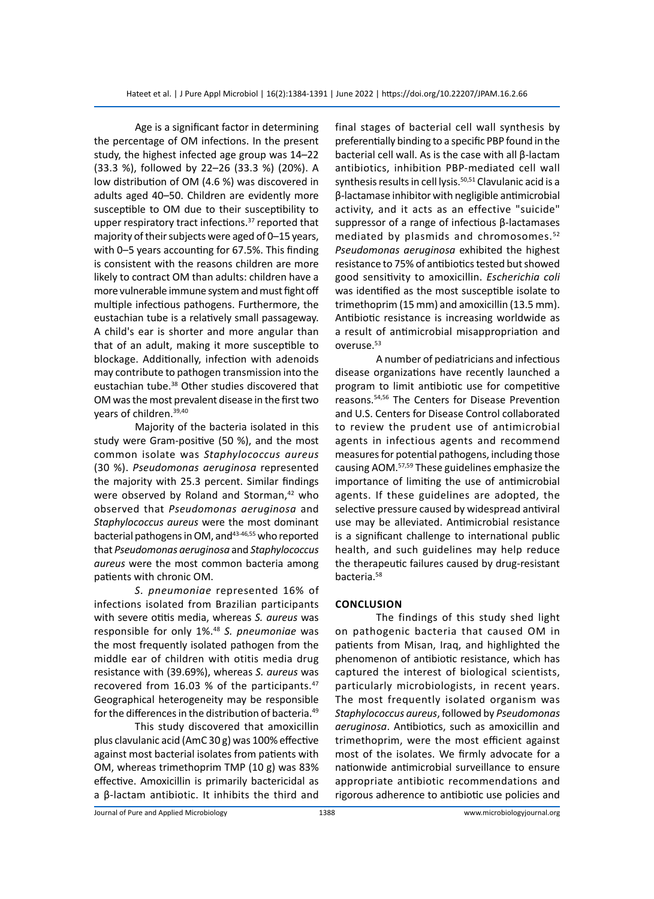Age is a significant factor in determining the percentage of OM infections. In the present study, the highest infected age group was 14–22 (33.3 %), followed by 22–26 (33.3 %) (20%). A low distribution of OM (4.6 %) was discovered in adults aged 40–50. Children are evidently more susceptible to OM due to their susceptibility to upper respiratory tract infections.<sup>37</sup> reported that majority of their subjects were aged of 0–15 years, with 0–5 years accounting for 67.5%. This finding is consistent with the reasons children are more likely to contract OM than adults: children have a more vulnerable immune system and must fight off multiple infectious pathogens. Furthermore, the eustachian tube is a relatively small passageway. A child's ear is shorter and more angular than that of an adult, making it more susceptible to blockage. Additionally, infection with adenoids may contribute to pathogen transmission into the eustachian tube.38 Other studies discovered that OM was the most prevalent disease in the first two years of children.39,40

Majority of the bacteria isolated in this study were Gram-positive (50 %), and the most common isolate was *Staphylococcus aureus* (30 %). *Pseudomonas aeruginosa* represented the majority with 25.3 percent. Similar findings were observed by Roland and Storman,<sup>42</sup> who observed that *Pseudomonas aeruginosa* and *Staphylococcus aureus* were the most dominant bacterial pathogens in OM, and<sup>43-46,55</sup> who reported that *Pseudomonas aeruginosa* and *Staphylococcus aureus* were the most common bacteria among patients with chronic OM.

*S. pneumoniae* represented 16% of infections isolated from Brazilian participants with severe otitis media, whereas *S. aureus* was responsible for only 1%.<sup>48</sup> *S. pneumoniae* was the most frequently isolated pathogen from the middle ear of children with otitis media drug resistance with (39.69%), whereas *S. aureus* was recovered from 16.03 % of the participants.<sup>47</sup> Geographical heterogeneity may be responsible for the differences in the distribution of bacteria.<sup>49</sup>

This study discovered that amoxicillin plus clavulanic acid (AmC 30 g) was 100% effective against most bacterial isolates from patients with OM, whereas trimethoprim TMP (10 g) was 83% effective. Amoxicillin is primarily bactericidal as a β-lactam antibiotic. It inhibits the third and final stages of bacterial cell wall synthesis by preferentially binding to a specific PBP found in the bacterial cell wall. As is the case with all β-lactam antibiotics, inhibition PBP-mediated cell wall synthesis results in cell lysis.<sup>50,51</sup> Clavulanic acid is a β-lactamase inhibitor with negligible antimicrobial activity, and it acts as an effective "suicide" suppressor of a range of infectious β-lactamases mediated by plasmids and chromosomes.<sup>52</sup> *Pseudomonas aeruginosa* exhibited the highest resistance to 75% of antibiotics tested but showed good sensitivity to amoxicillin. *Escherichia coli* was identified as the most susceptible isolate to trimethoprim (15 mm) and amoxicillin (13.5 mm). Antibiotic resistance is increasing worldwide as a result of antimicrobial misappropriation and overuse.<sup>53</sup>

A number of pediatricians and infectious disease organizations have recently launched a program to limit antibiotic use for competitive reasons.54,56 The Centers for Disease Prevention and U.S. Centers for Disease Control collaborated to review the prudent use of antimicrobial agents in infectious agents and recommend measures for potential pathogens, including those causing AOM.57,59 These guidelines emphasize the importance of limiting the use of antimicrobial agents. If these guidelines are adopted, the selective pressure caused by widespread antiviral use may be alleviated. Antimicrobial resistance is a significant challenge to international public health, and such guidelines may help reduce the therapeutic failures caused by drug-resistant bacteria.<sup>58</sup>

# **Conclusion**

The findings of this study shed light on pathogenic bacteria that caused OM in patients from Misan, Iraq, and highlighted the phenomenon of antibiotic resistance, which has captured the interest of biological scientists, particularly microbiologists, in recent years. The most frequently isolated organism was *Staphylococcus aureus*, followed by *Pseudomonas aeruginosa*. Antibiotics, such as amoxicillin and trimethoprim, were the most efficient against most of the isolates. We firmly advocate for a nationwide antimicrobial surveillance to ensure appropriate antibiotic recommendations and rigorous adherence to antibiotic use policies and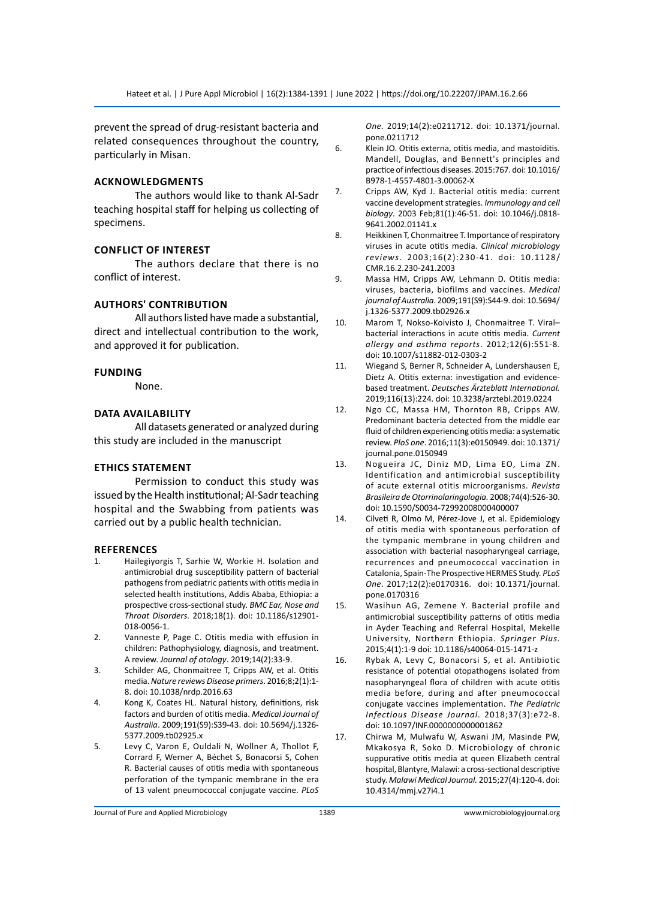prevent the spread of drug-resistant bacteria and related consequences throughout the country, particularly in Misan.

# **Acknowledgments**

The authors would like to thank Al-Sadr teaching hospital staff for helping us collecting of specimens.

# **Conflict of Interest**

The authors declare that there is no conflict of interest.

#### **AuthorS' Contribution**

All authors listed have made a substantial, direct and intellectual contribution to the work, and approved it for publication.

#### **Funding**

None.

### **Data Availability**

All datasets generated or analyzed during this study are included in the manuscript

# **Ethics Statement**

Permission to conduct this study was issued by the Health institutional; Al-Sadr teaching hospital and the Swabbing from patients was carried out by a public health technician.

#### **References**

- 1. Hailegiyorgis T, Sarhie W, Workie H. Isolation and antimicrobial drug susceptibility pattern of bacterial pathogens from pediatric patients with otitis media in selected health institutions, Addis Ababa, Ethiopia: a prospective cross-sectional study. *BMC Ear, Nose and Throat Disorders.* 2018;18(1). doi: 10.1186/s12901- 018-0056-1.
- 2. Vanneste P, Page C. Otitis media with effusion in children: Pathophysiology, diagnosis, and treatment. A review. *Journal of otology*. 2019;14(2):33-9.
- 3. Schilder AG, Chonmaitree T, Cripps AW, et al. Otitis media. *Nature reviews Disease primers*. 2016;8;2(1):1- 8. doi: 10.1038/nrdp.2016.63
- 4. Kong K, Coates HL. Natural history, definitions, risk factors and burden of otitis media. *Medical Journal of Australia*. 2009;191(S9):S39-43. doi: 10.5694/j.1326- 5377.2009.tb02925.x
- 5. Levy C, Varon E, Ouldali N, Wollner A, Thollot F, Corrard F, Werner A, Béchet S, Bonacorsi S, Cohen R. Bacterial causes of otitis media with spontaneous perforation of the tympanic membrane in the era of 13 valent pneumococcal conjugate vaccine. *PLoS*

*One.* 2019;14(2):e0211712. doi: 10.1371/journal. pone.0211712

- 6. Klein JO. Otitis externa, otitis media, and mastoiditis. Mandell, Douglas, and Bennett's principles and practice of infectious diseases. 2015:767. doi: 10.1016/ B978-1-4557-4801-3.00062-X
- 7. Cripps AW, Kyd J. Bacterial otitis media: current vaccine development strategies. *Immunology and cell biology*. 2003 Feb;81(1):46-51. doi: 10.1046/j.0818- 9641.2002.01141.x
- 8. Heikkinen T, Chonmaitree T. Importance of respiratory viruses in acute otitis media. *Clinical microbiology reviews*. 2003;16(2):230-41. doi: 10.1128/ CMR.16.2.230-241.2003
- 9. Massa HM, Cripps AW, Lehmann D. Otitis media: viruses, bacteria, biofilms and vaccines. *Medical journal of Australia*. 2009;191(S9):S44-9. doi: 10.5694/ j.1326-5377.2009.tb02926.x
- 10. Marom T, Nokso-Koivisto J, Chonmaitree T. Viral– bacterial interactions in acute otitis media. *Current allergy and asthma reports*. 2012;12(6):551-8. doi: 10.1007/s11882-012-0303-2
- 11. Wiegand S, Berner R, Schneider A, Lundershausen E, Dietz A. Otitis externa: investigation and evidencebased treatment. *Deutsches Ärzteblatt International.*  2019;116(13):224. doi: 10.3238/arztebl.2019.0224
- 12. Ngo CC, Massa HM, Thornton RB, Cripps AW. Predominant bacteria detected from the middle ear fluid of children experiencing otitis media: a systematic review. *PloS one*. 2016;11(3):e0150949. doi: 10.1371/ journal.pone.0150949
- 13. Nogueira JC, Diniz MD, Lima EO, Lima ZN. Identification and antimicrobial susceptibility of acute external otitis microorganisms. *Revista Brasileira de Otorrinolaringologia.* 2008;74(4):526-30. doi: 10.1590/S0034-72992008000400007
- 14. Cilveti R, Olmo M, Pérez-Jove J, et al. Epidemiology of otitis media with spontaneous perforation of the tympanic membrane in young children and association with bacterial nasopharyngeal carriage, recurrences and pneumococcal vaccination in Catalonia, Spain-The Prospective HERMES Study. *PLoS One*. 2017;12(2):e0170316. doi: 10.1371/journal. pone.0170316
- 15. Wasihun AG, Zemene Y. Bacterial profile and antimicrobial susceptibility patterns of otitis media in Ayder Teaching and Referral Hospital, Mekelle University, Northern Ethiopia. *Springer Plus.*  2015;4(1):1-9 doi: 10.1186/s40064-015-1471-z
- 16. Rybak A, Levy C, Bonacorsi S, et al. Antibiotic resistance of potential otopathogens isolated from nasopharyngeal flora of children with acute otitis media before, during and after pneumococcal conjugate vaccines implementation. *The Pediatric Infectious Disease Journal.* 2018;37(3):e72-8. doi: 10.1097/INF.0000000000001862
- 17. Chirwa M, Mulwafu W, Aswani JM, Masinde PW, Mkakosya R, Soko D. Microbiology of chronic suppurative otitis media at queen Elizabeth central hospital, Blantyre, Malawi: a cross-sectional descriptive study. *Malawi Medical Journal.* 2015;27(4):120-4. doi: 10.4314/mmj.v27i4.1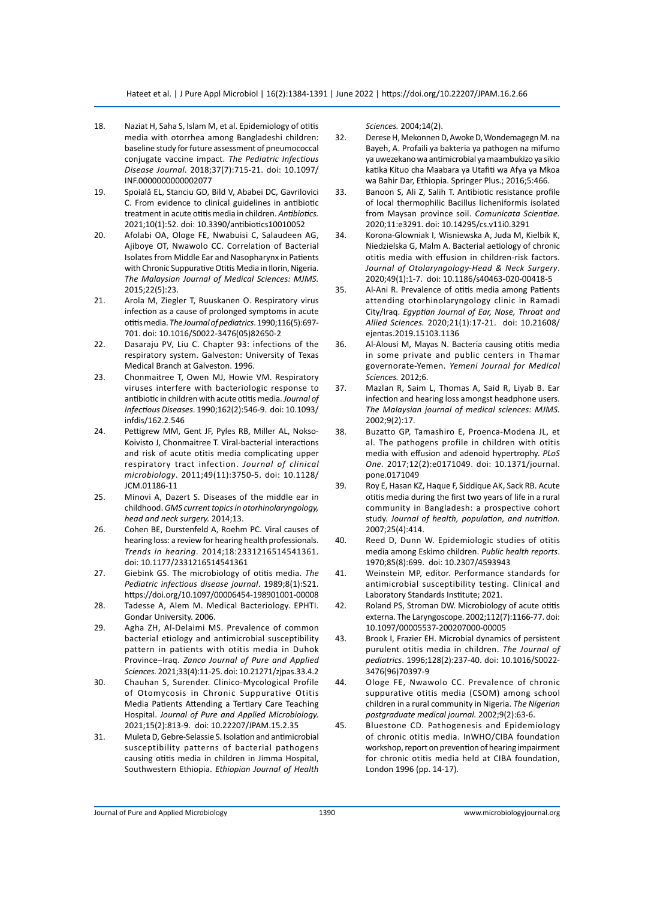- 18. Naziat H, Saha S, Islam M, et al. Epidemiology of otitis media with otorrhea among Bangladeshi children: baseline study for future assessment of pneumococcal conjugate vaccine impact. *The Pediatric Infectious Disease Journal*. 2018;37(7):715-21. doi: 10.1097/ INF.0000000000002077
- 19. Spoială EL, Stanciu GD, Bild V, Ababei DC, Gavrilovici C. From evidence to clinical guidelines in antibiotic treatment in acute otitis media in children. *Antibiotics.*  2021;10(1):52. doi: 10.3390/antibiotics10010052
- 20. Afolabi OA, Ologe FE, Nwabuisi C, Salaudeen AG, Ajiboye OT, Nwawolo CC. Correlation of Bacterial Isolates from Middle Ear and Nasopharynx in Patients with Chronic Suppurative Otitis Media in Ilorin, Nigeria. *The Malaysian Journal of Medical Sciences: MJMS.*  2015;22(5):23.
- 21. Arola M, Ziegler T, Ruuskanen O. Respiratory virus infection as a cause of prolonged symptoms in acute otitis media. *The Journal of pediatrics*. 1990;116(5):697- 701. doi: 10.1016/S0022-3476(05)82650-2
- 22. Dasaraju PV, Liu C. Chapter 93: infections of the respiratory system. Galveston: University of Texas Medical Branch at Galveston. 1996.
- 23. Chonmaitree T, Owen MJ, Howie VM. Respiratory viruses interfere with bacteriologic response to antibiotic in children with acute otitis media. *Journal of Infectious Diseases*. 1990;162(2):546-9. doi: 10.1093/ infdis/162.2.546
- 24. Pettigrew MM, Gent JF, Pyles RB, Miller AL, Nokso-Koivisto J, Chonmaitree T. Viral-bacterial interactions and risk of acute otitis media complicating upper respiratory tract infection. *Journal of clinical microbiology*. 2011;49(11):3750-5. doi: 10.1128/ JCM.01186-11
- 25. Minovi A, Dazert S. Diseases of the middle ear in childhood. *GMS current topics in otorhinolaryngology, head and neck surgery.* 2014;13.
- 26. Cohen BE, Durstenfeld A, Roehm PC. Viral causes of hearing loss: a review for hearing health professionals. *Trends in hearing*. 2014;18:2331216514541361. doi: 10.1177/2331216514541361
- 27. Giebink GS. The microbiology of otitis media. *The Pediatric infectious disease journal*. 1989;8(1):S21. https://doi.org/10.1097/00006454-198901001-00008
- 28. Tadesse A, Alem M. Medical Bacteriology. EPHTI. Gondar University. 2006.
- 29. Agha ZH, Al-Delaimi MS. Prevalence of common bacterial etiology and antimicrobial susceptibility pattern in patients with otitis media in Duhok Province–Iraq. *Zanco Journal of Pure and Applied Sciences.* 2021;33(4):11-25. doi: 10.21271/zjpas.33.4.2
- 30. Chauhan S, Surender. Clinico-Mycological Profile of Otomycosis in Chronic Suppurative Otitis Media Patients Attending a Tertiary Care Teaching Hospital. *Journal of Pure and Applied Microbiology.*  2021;15(2):813-9. doi: 10.22207/JPAM.15.2.35
- 31. Muleta D, Gebre-Selassie S. Isolation and antimicrobial susceptibility patterns of bacterial pathogens causing otitis media in children in Jimma Hospital, Southwestern Ethiopia. *Ethiopian Journal of Health*

*Sciences.* 2004;14(2).

- 32. Derese H, Mekonnen D, Awoke D, Wondemagegn M. na Bayeh, A. Profaili ya bakteria ya pathogen na mifumo ya uwezekano wa antimicrobial ya maambukizo ya sikio katika Kituo cha Maabara ya Utafiti wa Afya ya Mkoa wa Bahir Dar, Ethiopia. Springer Plus.; 2016;5:466.
- 33. Banoon S, Ali Z, Salih T. Antibiotic resistance profile of local thermophilic Bacillus licheniformis isolated from Maysan province soil. *Comunicata Scientiae.*  2020;11:e3291. doi: 10.14295/cs.v11i0.3291
- 34. Korona-Glowniak I, Wisniewska A, Juda M, Kielbik K, Niedzielska G, Malm A. Bacterial aetiology of chronic otitis media with effusion in children-risk factors. *Journal of Otolaryngology-Head & Neck Surgery*. 2020;49(1):1-7. doi: 10.1186/s40463-020-00418-5
- 35. Al-Ani R. Prevalence of otitis media among Patients attending otorhinolaryngology clinic in Ramadi City/Iraq. *Egyptian Journal of Ear, Nose, Throat and Allied Sciences.* 2020;21(1):17-21. doi: 10.21608/ ejentas.2019.15103.1136
- 36. Al-Alousi M, Mayas N. Bacteria causing otitis media in some private and public centers in Thamar governorate-Yemen. *Yemeni Journal for Medical Sciences.* 2012;6.
- 37. Mazlan R, Saim L, Thomas A, Said R, Liyab B. Ear infection and hearing loss amongst headphone users. *The Malaysian journal of medical sciences: MJMS.*  2002;9(2):17.
- 38. Buzatto GP, Tamashiro E, Proenca-Modena JL, et al. The pathogens profile in children with otitis media with effusion and adenoid hypertrophy. *PLoS One.* 2017;12(2):e0171049. doi: 10.1371/journal. pone.0171049
- 39. Roy E, Hasan KZ, Haque F, Siddique AK, Sack RB. Acute otitis media during the first two years of life in a rural community in Bangladesh: a prospective cohort study. *Journal of health, population, and nutrition.*  2007;25(4):414.
- 40. Reed D, Dunn W. Epidemiologic studies of otitis media among Eskimo children. *Public health reports*. 1970;85(8):699. doi: 10.2307/4593943
- 41. Weinstein MP, editor. Performance standards for antimicrobial susceptibility testing. Clinical and Laboratory Standards Institute; 2021.
- 42. Roland PS, Stroman DW. Microbiology of acute otitis externa. The Laryngoscope. 2002;112(7):1166-77. doi: 10.1097/00005537-200207000-00005
- 43. Brook I, Frazier EH. Microbial dynamics of persistent purulent otitis media in children. *The Journal of pediatrics*. 1996;128(2):237-40. doi: 10.1016/S0022- 3476(96)70397-9
- 44. Ologe FE, Nwawolo CC. Prevalence of chronic suppurative otitis media (CSOM) among school children in a rural community in Nigeria. *The Nigerian postgraduate medical journal.* 2002;9(2):63-6.
- 45. Bluestone CD. Pathogenesis and Epidemiology of chronic otitis media. InWHO/CIBA foundation workshop, report on prevention of hearing impairment for chronic otitis media held at CIBA foundation, London 1996 (pp. 14-17).